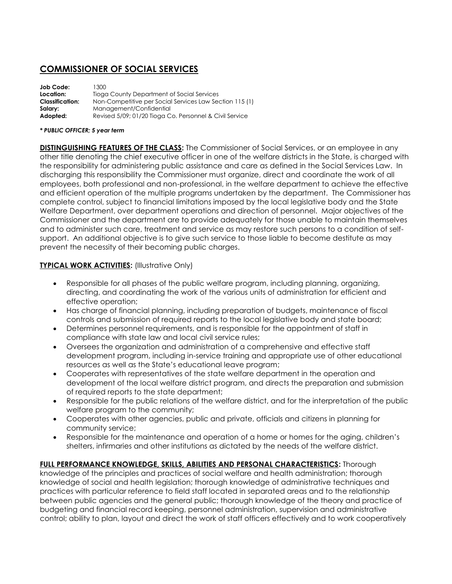# **COMMISSIONER OF SOCIAL SERVICES**

| Job Code:              | 1300                                                    |
|------------------------|---------------------------------------------------------|
| Location:              | Tioga County Department of Social Services              |
| <b>Classification:</b> | Non-Competitive per Social Services Law Section 115 (1) |
| Salary:                | Management/Confidential                                 |
| Adopted:               | Revised 5/09; 01/20 Tioga Co. Personnel & Civil Service |

#### *\* PUBLIC OFFICER; 5 year term*

**DISTINGUISHING FEATURES OF THE CLASS:** The Commissioner of Social Services, or an employee in any other title denoting the chief executive officer in one of the welfare districts in the State, is charged with the responsibility for administering public assistance and care as defined in the Social Services Law. In discharging this responsibility the Commissioner must organize, direct and coordinate the work of all employees, both professional and non-professional, in the welfare department to achieve the effective and efficient operation of the multiple programs undertaken by the department. The Commissioner has complete control, subject to financial limitations imposed by the local legislative body and the State Welfare Department, over department operations and direction of personnel. Major objectives of the Commissioner and the department are to provide adequately for those unable to maintain themselves and to administer such care, treatment and service as may restore such persons to a condition of selfsupport. An additional objective is to give such service to those liable to become destitute as may prevent the necessity of their becoming public charges.

## **TYPICAL WORK ACTIVITIES:** (Illustrative Only)

- Responsible for all phases of the public welfare program, including planning, organizing, directing, and coordinating the work of the various units of administration for efficient and effective operation;
- Has charge of financial planning, including preparation of budgets, maintenance of fiscal controls and submission of required reports to the local legislative body and state board;
- Determines personnel requirements, and is responsible for the appointment of staff in compliance with state law and local civil service rules;
- Oversees the organization and administration of a comprehensive and effective staff development program, including in-service training and appropriate use of other educational resources as well as the State's educational leave program;
- Cooperates with representatives of the state welfare department in the operation and development of the local welfare district program, and directs the preparation and submission of required reports to the state department;
- Responsible for the public relations of the welfare district, and for the interpretation of the public welfare program to the community;
- Cooperates with other agencies, public and private, officials and citizens in planning for community service;
- Responsible for the maintenance and operation of a home or homes for the aging, children's shelters, infirmaries and other institutions as dictated by the needs of the welfare district.

## **FULL PERFORMANCE KNOWLEDGE, SKILLS, ABILITIES AND PERSONAL CHARACTERISTICS:** Thorough

knowledge of the principles and practices of social welfare and health administration; thorough knowledge of social and health legislation; thorough knowledge of administrative techniques and practices with particular reference to field staff located in separated areas and to the relationship between public agencies and the general public; thorough knowledge of the theory and practice of budgeting and financial record keeping, personnel administration, supervision and administrative control; ability to plan, layout and direct the work of staff officers effectively and to work cooperatively